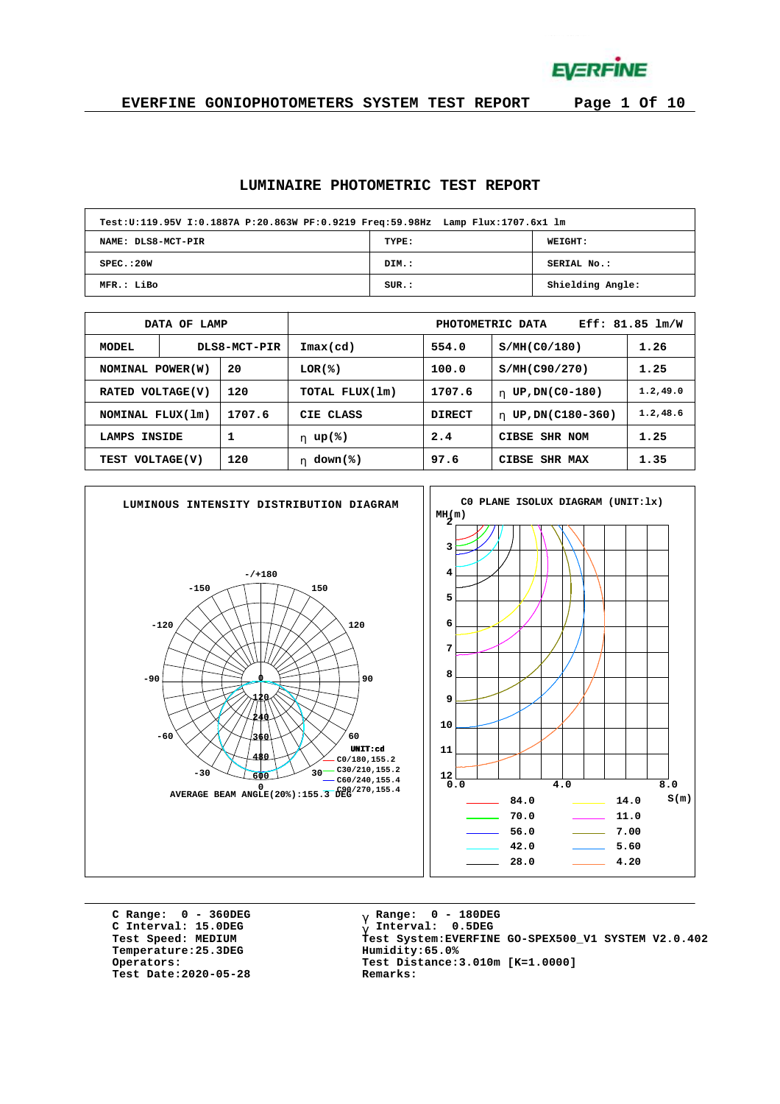**EVERFINE** 

**EVERFINE GONIOPHOTOMETERS SYSTEM TEST REPORT Page 1 Of 10**

#### **LUMINAIRE PHOTOMETRIC TEST REPORT**

| Test:U:119.95V I:0.1887A P:20.863W PF:0.9219 Freq:59.98Hz Lamp Flux:1707.6x1 lm |       |                  |
|---------------------------------------------------------------------------------|-------|------------------|
| NAME: DLS8-MCT-PIR                                                              | TYPE: | WEIGHT:          |
| SPEC. : 20W                                                                     | DIM.: | SERIAL No.:      |
| MFR.: LiBo                                                                      | SUR.: | Shielding Angle: |

|                            | DATA OF LAMP |              | Eff: 81.85 lm/W<br>PHOTOMETRIC DATA |               |                        |           |  |  |  |  |  |
|----------------------------|--------------|--------------|-------------------------------------|---------------|------------------------|-----------|--|--|--|--|--|
| MODEL                      |              | DLS8-MCT-PIR | Imax(cd)                            | 554.0         | S/MH(C0/180)           | 1.26      |  |  |  |  |  |
| 20<br>NOMINAL POWER(W)     |              |              | LOR(%)                              | 100.0         | S/MH(C90/270)          | 1.25      |  |  |  |  |  |
| VOLTAGE(V)<br><b>RATED</b> |              | 120          | TOTAL FLUX(1m)                      | 1707.6        | UP, DN(C0-180)<br>h.   | 1.2, 49.0 |  |  |  |  |  |
| NOMINAL FLUX(1m)           |              | 1707.6       | CIE CLASS                           | <b>DIRECT</b> | UP, DN(C180-360)<br>h. | 1.2, 48.6 |  |  |  |  |  |
| 1<br>INSIDE<br>LAMPS       |              |              | h $up$ (%)                          | 2.4           | CIBSE SHR NOM          | 1.25      |  |  |  |  |  |
| TEST VOLTAGE(V)            |              | 120          | $down$ (%)<br>h.                    | 97.6          | 1.35<br>CIBSE SHR MAX  |           |  |  |  |  |  |



**C Range: 0 - 360DEG C Interval: 15.0DEG**  $Temperature:25.3DEG$ **Test Date:2020-05-28 Remarks:**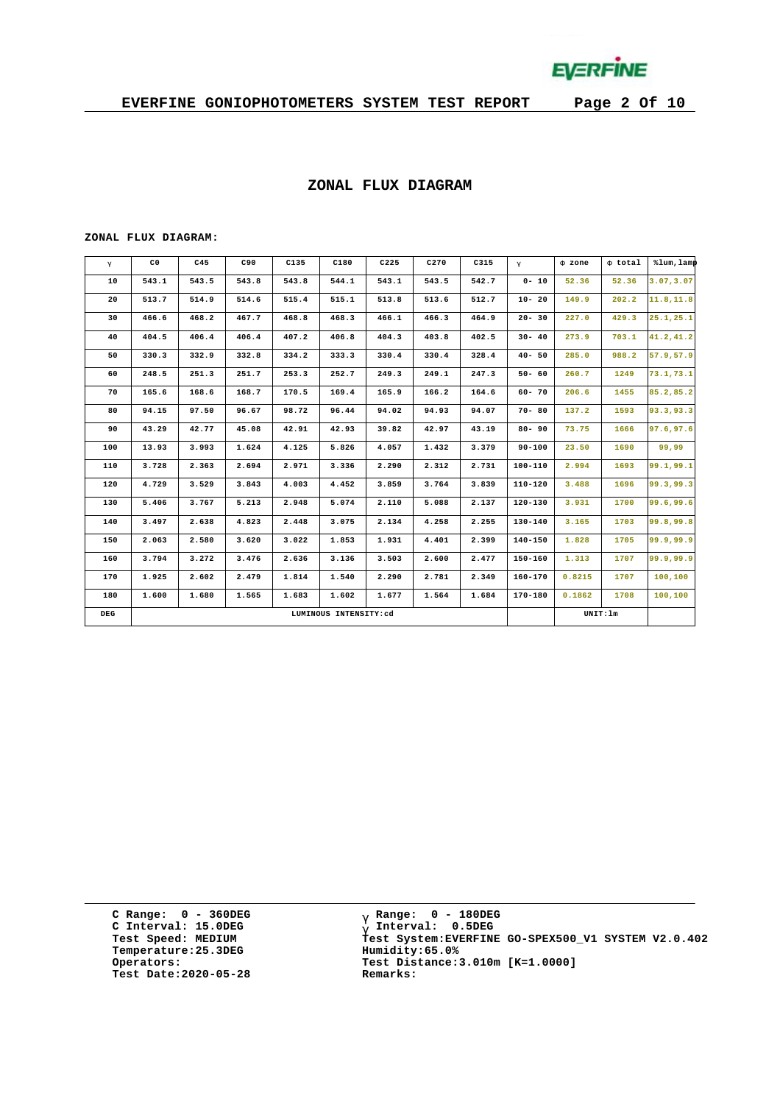

#### **ZONAL FLUX DIAGRAM**

#### **ZONAL FLUX DIAGRAM:**

| g   | C <sub>0</sub> | C45   | C90   | C135  | C180                  | C225  | C270  | C315  | $\mathsf{q}$ | F zone | F total  | %lum, lamp |
|-----|----------------|-------|-------|-------|-----------------------|-------|-------|-------|--------------|--------|----------|------------|
| 10  | 543.1          | 543.5 | 543.8 | 543.8 | 544.1                 | 543.1 | 543.5 | 542.7 | $0 - 10$     | 52.36  | 52.36    | 3.07, 3.07 |
| 20  | 513.7          | 514.9 | 514.6 | 515.4 | 515.1                 | 513.8 | 513.6 | 512.7 | $10 - 20$    | 149.9  | 202.2    | 11.8, 11.8 |
| 30  | 466.6          | 468.2 | 467.7 | 468.8 | 468.3                 | 466.1 | 466.3 | 464.9 | $20 - 30$    | 227.0  | 429.3    | 25.1, 25.1 |
| 40  | 404.5          | 406.4 | 406.4 | 407.2 | 406.8                 | 404.3 | 403.8 | 402.5 | $30 - 40$    | 273.9  | 703.1    | 41.2,41.2  |
| 50  | 330.3          | 332.9 | 332.8 | 334.2 | 333.3                 | 330.4 | 330.4 | 328.4 | $40 - 50$    | 285.0  | 988.2    | 57.9,57.9  |
| 60  | 248.5          | 251.3 | 251.7 | 253.3 | 252.7                 | 249.3 | 249.1 | 247.3 | $50 - 60$    | 260.7  | 1249     | 73.1,73.1  |
| 70  | 165.6          | 168.6 | 168.7 | 170.5 | 169.4                 | 165.9 | 166.2 | 164.6 | $60 - 70$    | 206.6  | 1455     | 85.2,85.2  |
| 80  | 94.15          | 97.50 | 96.67 | 98.72 | 96.44                 | 94.02 | 94.93 | 94.07 | $70 - 80$    | 137.2  | 1593     | 93.3,93.3  |
| 90  | 43.29          | 42.77 | 45.08 | 42.91 | 42.93                 | 39.82 | 42.97 | 43.19 | $80 - 90$    | 73.75  | 1666     | 97.6,97.6  |
| 100 | 13.93          | 3.993 | 1.624 | 4.125 | 5.826                 | 4.057 | 1.432 | 3.379 | $90 - 100$   | 23.50  | 1690     | 99,99      |
| 110 | 3.728          | 2.363 | 2.694 | 2.971 | 3.336                 | 2,290 | 2.312 | 2.731 | 100-110      | 2.994  | 1693     | 99.1,99.1  |
| 120 | 4.729          | 3.529 | 3.843 | 4.003 | 4.452                 | 3.859 | 3.764 | 3.839 | $110 - 120$  | 3.488  | 1696     | 99.3,99.3  |
| 130 | 5.406          | 3.767 | 5.213 | 2.948 | 5.074                 | 2.110 | 5.088 | 2.137 | $120 - 130$  | 3.931  | 1700     | 99.6,99.6  |
| 140 | 3.497          | 2.638 | 4.823 | 2.448 | 3.075                 | 2.134 | 4.258 | 2.255 | 130-140      | 3.165  | 1703     | 99.8,99.8  |
| 150 | 2.063          | 2.580 | 3.620 | 3.022 | 1.853                 | 1.931 | 4.401 | 2.399 | $140 - 150$  | 1.828  | 1705     | 99.9,99.9  |
| 160 | 3.794          | 3.272 | 3.476 | 2.636 | 3.136                 | 3.503 | 2.600 | 2.477 | $150 - 160$  | 1.313  | 1707     | 99.9,99.9  |
| 170 | 1.925          | 2.602 | 2.479 | 1.814 | 1.540                 | 2.290 | 2.781 | 2.349 | $160 - 170$  | 0.8215 | 1707     | 100,100    |
| 180 | 1.600          | 1.680 | 1.565 | 1.683 | 1.602                 | 1.677 | 1.564 | 1.684 | 170-180      | 0.1862 | 1708     | 100,100    |
| DEG |                |       |       |       | LUMINOUS INTENSITY:cd |       |       |       |              |        | UNIT: 1m |            |

**C Range: 0 - 360DEG C Interval: 15.0DEG Temperature:25.3DEG Humidity:65.0% Test Date:2020-05-28 Remarks:**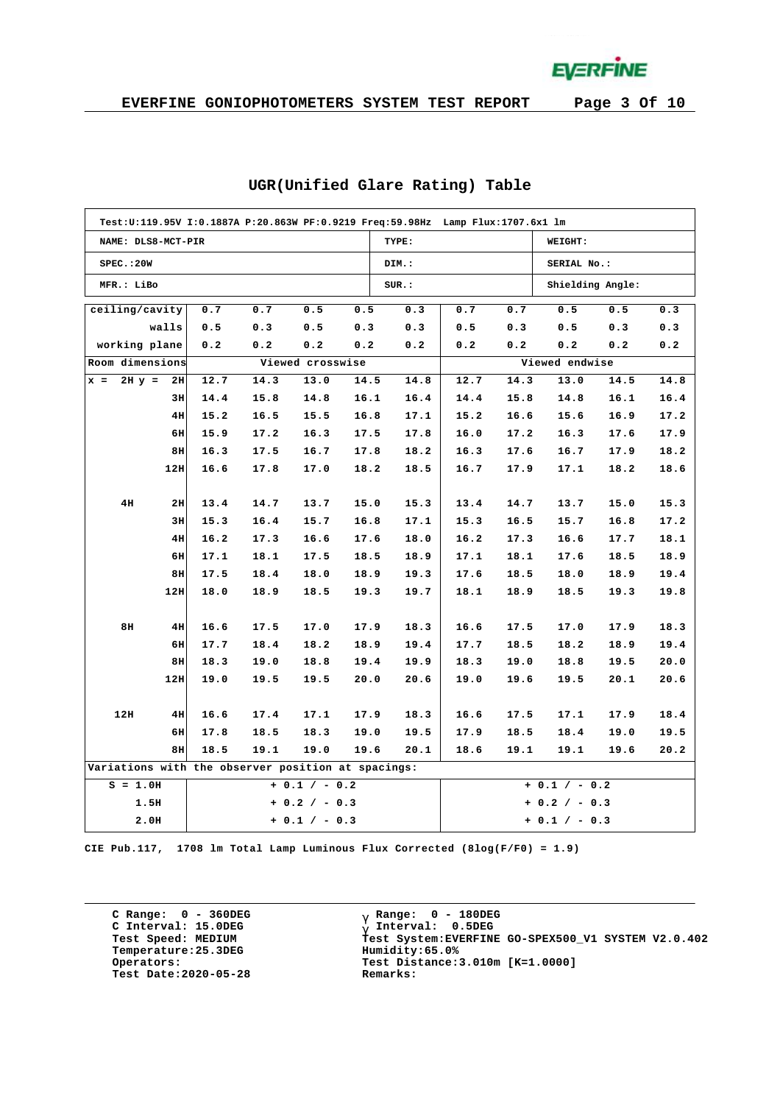**EVERFINE** 

|                                                    | Test:U:119.95V I:0.1887A P:20.863W PF:0.9219 Freq:59.98Hz Lamp Flux:1707.6x1 lm |      |      |                  |      |       |                 |      |                  |      |      |  |  |  |
|----------------------------------------------------|---------------------------------------------------------------------------------|------|------|------------------|------|-------|-----------------|------|------------------|------|------|--|--|--|
| NAME: DLS8-MCT-PIR                                 |                                                                                 |      |      |                  |      | TYPE: |                 |      | WEIGHT:          |      |      |  |  |  |
| SPEC.:20W                                          |                                                                                 |      |      |                  |      | DIM.: |                 |      | SERIAL No.:      |      |      |  |  |  |
| MFR.: LiBo                                         |                                                                                 |      |      |                  |      | SUR.: |                 |      | Shielding Angle: |      |      |  |  |  |
| ceiling/cavity                                     |                                                                                 | 0.7  | 0.7  | 0.5              | 0.5  | 0.3   | 0.7             | 0.7  | 0.5              | 0.5  | 0.3  |  |  |  |
|                                                    | walls                                                                           | 0.5  | 0.3  | 0.5              | 0.3  | 0.3   | 0.5             | 0.3  | 0.5              | 0.3  | 0.3  |  |  |  |
| working plane                                      |                                                                                 | 0.2  | 0.2  | 0.2              | 0.2  | 0.2   | 0.2             | 0.2  | 0.2              | 0.2  | 0.2  |  |  |  |
| Room dimensions                                    |                                                                                 |      |      | Viewed crosswise |      |       |                 |      | Viewed endwise   |      |      |  |  |  |
| $x =$                                              | $2H y = 2H$                                                                     | 12.7 | 14.3 | 13.0             | 14.5 | 14.8  | 12.7            | 14.3 | 13.0             | 14.5 | 14.8 |  |  |  |
|                                                    | 3H                                                                              | 14.4 | 15.8 | 14.8             | 16.1 | 16.4  | 14.4            | 15.8 | 14.8             | 16.1 | 16.4 |  |  |  |
|                                                    | 4H                                                                              | 15.2 | 16.5 | 15.5             | 16.8 | 17.1  | 15.2            | 16.6 | 15.6             | 16.9 | 17.2 |  |  |  |
|                                                    | 6H                                                                              | 15.9 | 17.2 | 16.3             | 17.5 | 17.8  | 16.0            | 17.2 | 16.3             | 17.6 | 17.9 |  |  |  |
|                                                    | 8H                                                                              | 16.3 | 17.5 | 16.7             | 17.8 | 18.2  | 16.3            | 17.6 | 16.7             | 17.9 | 18.2 |  |  |  |
|                                                    | 12H                                                                             | 16.6 | 17.8 | 17.0             | 18.2 | 18.5  | 16.7            | 17.9 | 17.1             | 18.2 | 18.6 |  |  |  |
|                                                    |                                                                                 |      |      |                  |      |       |                 |      |                  |      |      |  |  |  |
| 4H                                                 | 2H                                                                              | 13.4 | 14.7 | 13.7             | 15.0 | 15.3  | 13.4            | 14.7 | 13.7             | 15.0 | 15.3 |  |  |  |
|                                                    | 3H                                                                              | 15.3 | 16.4 | 15.7             | 16.8 | 17.1  | 15.3            | 16.5 | 15.7             | 16.8 | 17.2 |  |  |  |
|                                                    | 4H                                                                              | 16.2 | 17.3 | 16.6             | 17.6 | 18.0  | 16.2            | 17.3 | 16.6             | 17.7 | 18.1 |  |  |  |
|                                                    | 6H                                                                              | 17.1 | 18.1 | 17.5             | 18.5 | 18.9  | 17.1            | 18.1 | 17.6             | 18.5 | 18.9 |  |  |  |
|                                                    | 8H                                                                              | 17.5 | 18.4 | 18.0             | 18.9 | 19.3  | 17.6            | 18.5 | 18.0             | 18.9 | 19.4 |  |  |  |
|                                                    | 12H                                                                             | 18.0 | 18.9 | 18.5             | 19.3 | 19.7  | 18.1            | 18.9 | 18.5             | 19.3 | 19.8 |  |  |  |
|                                                    |                                                                                 |      |      |                  |      |       |                 |      |                  |      |      |  |  |  |
| 8H                                                 | 4H                                                                              | 16.6 | 17.5 | 17.0             | 17.9 | 18.3  | 16.6            | 17.5 | 17.0             | 17.9 | 18.3 |  |  |  |
|                                                    | 6H                                                                              | 17.7 | 18.4 | 18.2             | 18.9 | 19.4  | 17.7            | 18.5 | 18.2             | 18.9 | 19.4 |  |  |  |
|                                                    | 8H                                                                              | 18.3 | 19.0 | 18.8             | 19.4 | 19.9  | 18.3            | 19.0 | 18.8             | 19.5 | 20.0 |  |  |  |
|                                                    | 12H                                                                             | 19.0 | 19.5 | 19.5             | 20.0 | 20.6  | 19.0            | 19.6 | 19.5             | 20.1 | 20.6 |  |  |  |
|                                                    |                                                                                 |      |      |                  |      |       |                 |      |                  |      |      |  |  |  |
| 12H                                                | 4H                                                                              | 16.6 | 17.4 | 17.1             | 17.9 | 18.3  | 16.6            | 17.5 | 17.1             | 17.9 | 18.4 |  |  |  |
|                                                    | 6H                                                                              | 17.8 | 18.5 | 18.3             | 19.0 | 19.5  | 17.9            | 18.5 | 18.4             | 19.0 | 19.5 |  |  |  |
|                                                    | 8H                                                                              | 18.5 | 19.1 | 19.0             | 19.6 | 20.1  | 18.6            | 19.1 | 19.1             | 19.6 | 20.2 |  |  |  |
| Variations with the observer position at spacings: |                                                                                 |      |      |                  |      |       |                 |      |                  |      |      |  |  |  |
| $S = 1.0H$                                         |                                                                                 |      |      | $+ 0.1 / - 0.2$  |      |       |                 |      | $+ 0.1 / - 0.2$  |      |      |  |  |  |
|                                                    | 1.5H                                                                            |      |      | $+ 0.2 / - 0.3$  |      |       | $+ 0.2 / - 0.3$ |      |                  |      |      |  |  |  |
|                                                    | 2.0H                                                                            |      |      | $+ 0.1 / - 0.3$  |      |       |                 |      | $+ 0.1 / - 0.3$  |      |      |  |  |  |

#### **UGR(Unified Glare Rating) Table**

**CIE Pub.117, 1708 lm Total Lamp Luminous Flux Corrected (8log(F/F0) = 1.9)**

**C Range: 0 - 360DEG C Interval: 15.0DEG Temperature:25.3DEG Humidity:65.0% Test Date:2020-05-28 Remarks:**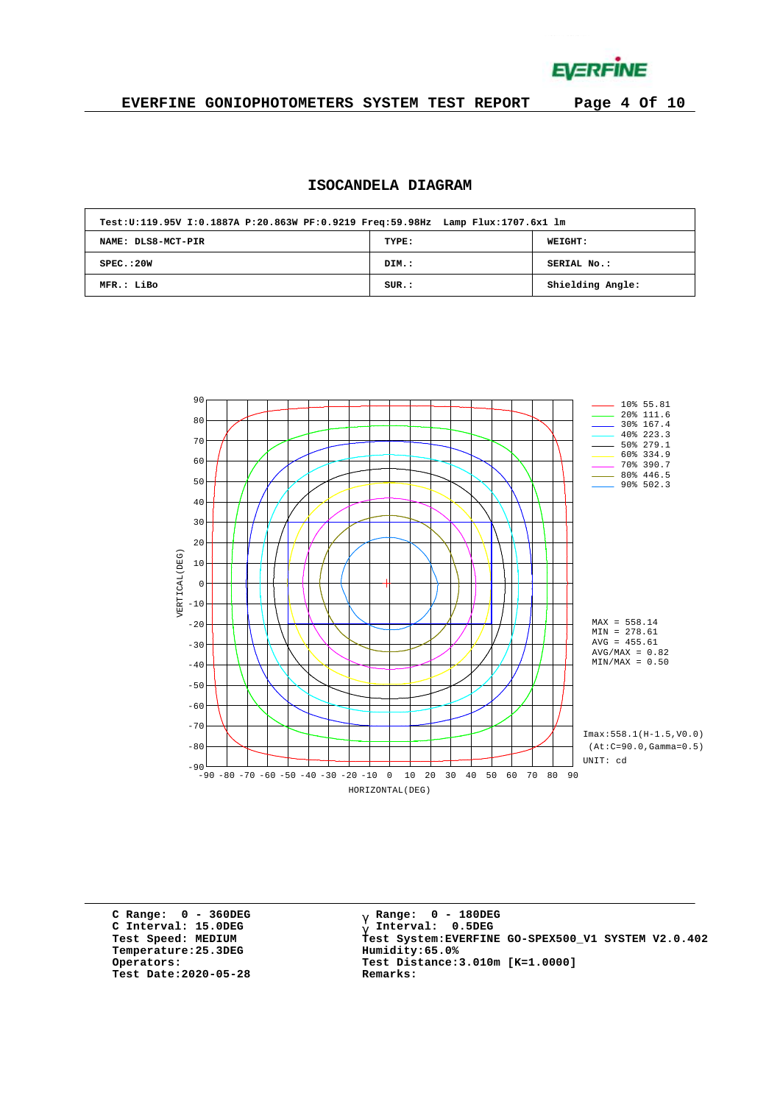**EVERFINE** 

### **EVERFINE GONIOPHOTOMETERS SYSTEM TEST REPORT Page 4 Of 10**

# **ISOCANDELA DIAGRAM**

| Test:U:119.95V I:0.1887A P:20.863W PF:0.9219 Freq:59.98Hz Lamp Flux:1707.6x1 lm |       |                  |
|---------------------------------------------------------------------------------|-------|------------------|
| NAME: DLS8-MCT-PIR                                                              | TYPE: | <b>WEIGHT:</b>   |
| SPEC. : 20W                                                                     | DIM.: | SERIAL No.:      |
| MFR.: LiBo                                                                      | SUR.: | Shielding Angle: |



**C Range: 0 - 360DEG C Interval: 15.0DEG Temperature:25.3DEG Humidity:65.0% Test Date:2020-05-28 Remarks:**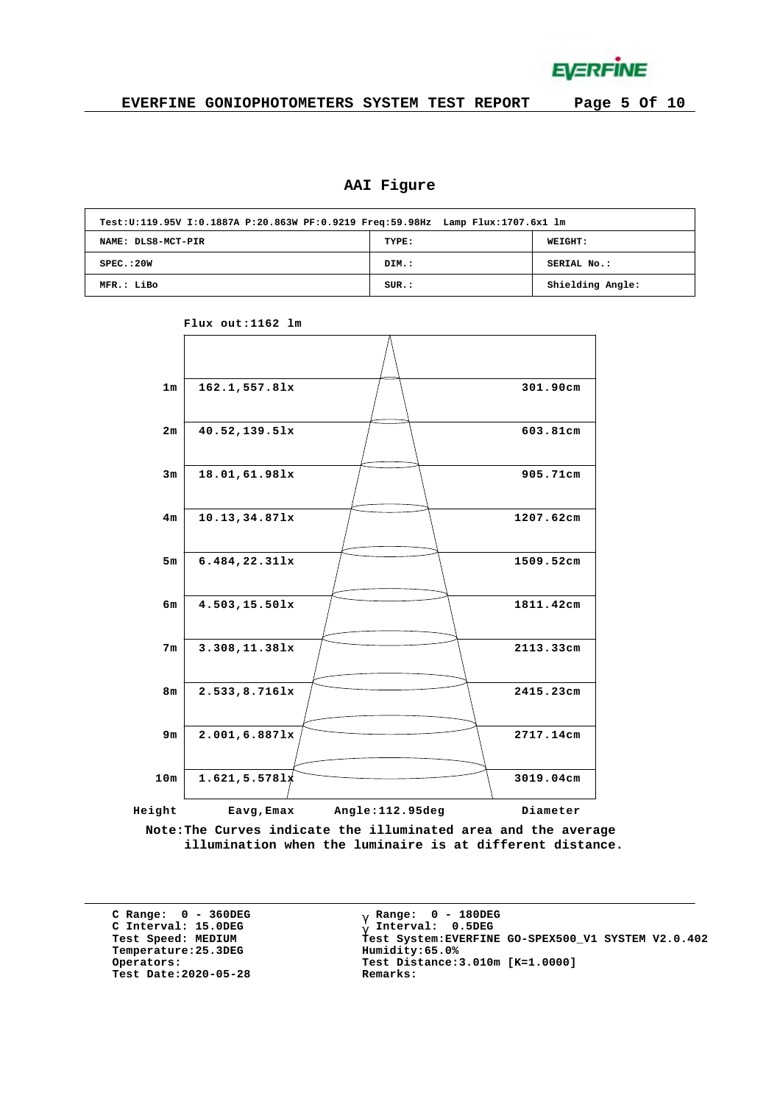

# **AAI Figure**

|                    | Test:U:119.95V I:0.1887A P:20.863W PF:0.9219 Freq:59.98Hz Lamp Flux:1707.6x1 lm |                  |  |  |  |  |  |  |  |  |  |
|--------------------|---------------------------------------------------------------------------------|------------------|--|--|--|--|--|--|--|--|--|
| NAME: DLS8-MCT-PIR | TYPE:                                                                           | WEIGHT:          |  |  |  |  |  |  |  |  |  |
| SPEC.:20W          | DIM.:                                                                           | SERIAL No.:      |  |  |  |  |  |  |  |  |  |
| MFR.: LiBo         | SUR.:                                                                           | Shielding Angle: |  |  |  |  |  |  |  |  |  |



**Flux out:1162 lm**

**Note:The Curves indicate the illuminated area and the average illumination when the luminaire is at different distance.**

**C Range: 0 - 360DEG C Interval: 15.0DEG**  $Temperature:25.3DEG$ **Test Date:2020-05-28 Remarks:**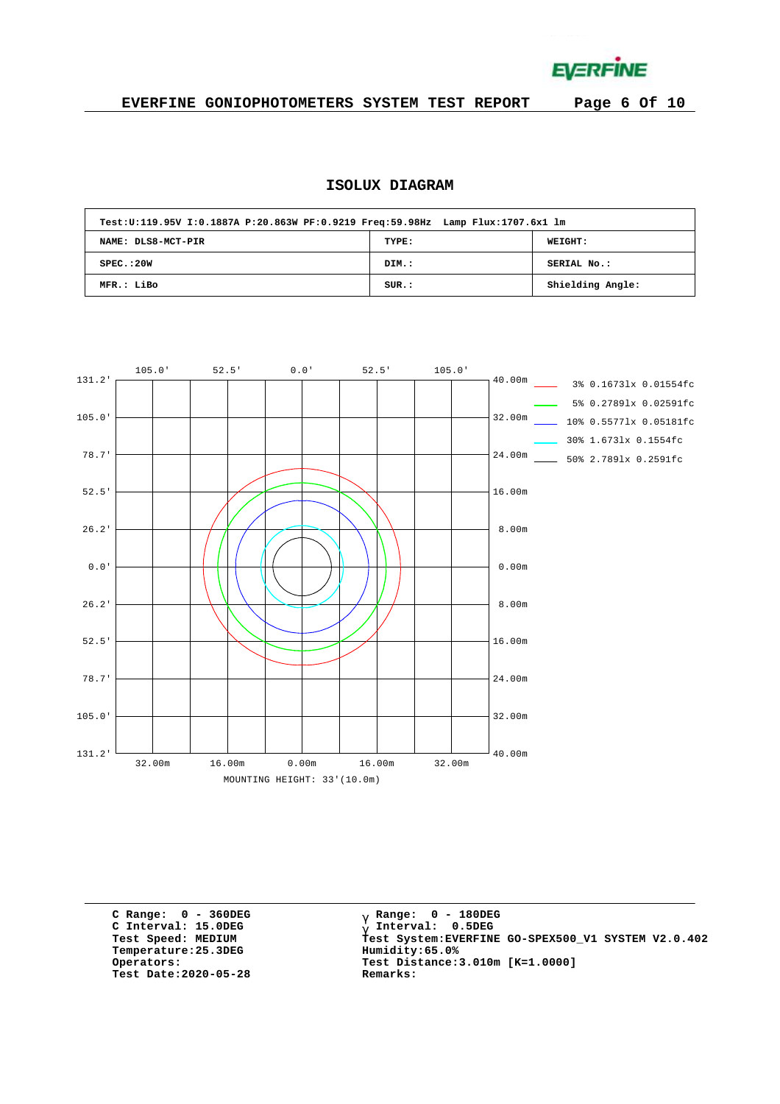**EVERFINE** 

# **EVERFINE GONIOPHOTOMETERS SYSTEM TEST REPORT Page 6 Of 10**

# **ISOLUX DIAGRAM**

| Test:U:119.95V I:0.1887A P:20.863W PF:0.9219 Freq:59.98Hz Lamp Flux:1707.6x1 lm |       |                  |
|---------------------------------------------------------------------------------|-------|------------------|
| NAME: DLS8-MCT-PIR                                                              | TYPE: | <b>WEIGHT:</b>   |
| SPEC. : 20W                                                                     | DIM.: | SERIAL No.:      |
| MFR.: LiBo                                                                      | SUR.: | Shielding Angle: |



**C Range: 0 - 360DEG C Interval: 15.0DEG**  $Temperature:25.3DEG$ **Test Date:2020-05-28 Remarks:**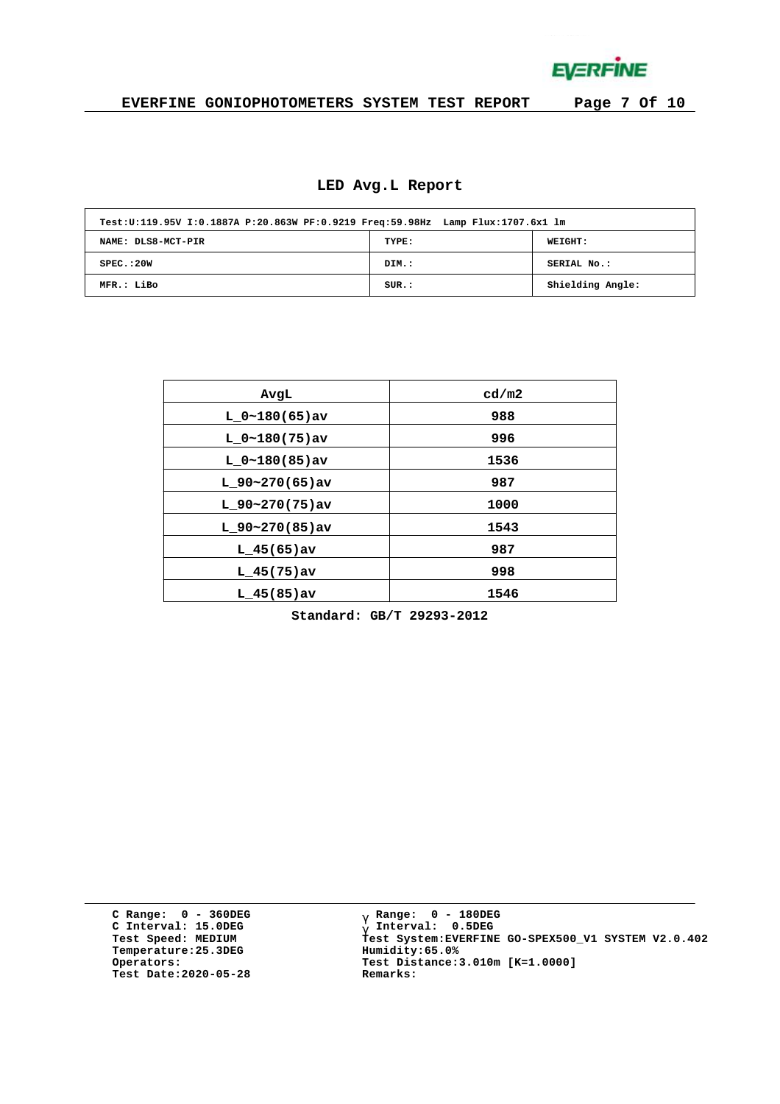**EVERFINE** 

# **EVERFINE GONIOPHOTOMETERS SYSTEM TEST REPORT Page 7 Of 10**

#### **LED Avg.L Report**

| Test:U:119.95V I:0.1887A P:20.863W PF:0.9219 Freq:59.98Hz Lamp Flux:1707.6x1 lm |       |                  |
|---------------------------------------------------------------------------------|-------|------------------|
| NAME: DLS8-MCT-PIR                                                              | TYPE: | WEIGHT:          |
| SPEC. : 20W                                                                     | DIM.: | SERIAL No.:      |
| MFR.: LiBo                                                                      | SUR.: | Shielding Angle: |

| AvgL              | cd/m2 |
|-------------------|-------|
| $L 0~180(65)$ av  | 988   |
| $L_0~180(75)$ av  | 996   |
| $L 0~180(85)$ av  | 1536  |
| L $90-270(65)$ av | 987   |
| $L$ 90~270(75)av  | 1000  |
| $L$ 90~270(85)av  | 1543  |
| $L$ 45(65) av     | 987   |
|                   |       |
| $L$ 45(75)av      | 998   |
| $L$ 45(85)av      | 1546  |

**Standard: GB/T 29293-2012**

**C Range: 0 - 360DEG C Interval: 15.0DEG Temperature:25.3DEG Humidity:65.0% Test Date:2020-05-28 Remarks:**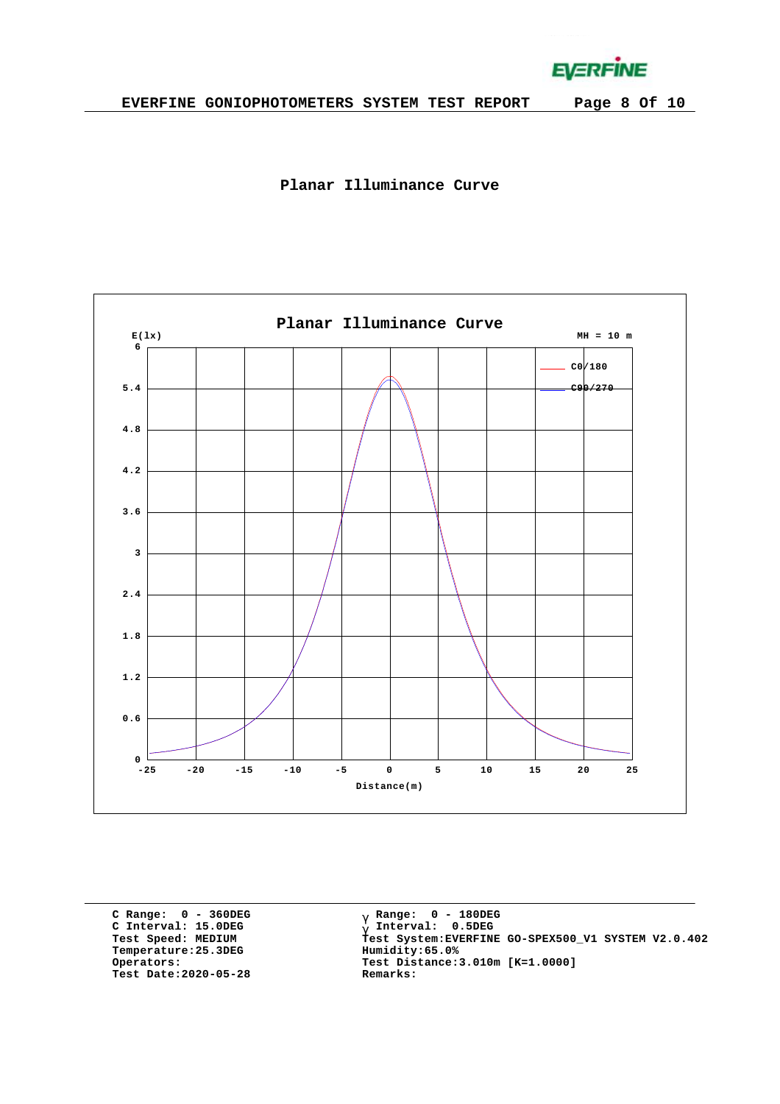**EVERFINE** 





**C Range: 0 - 360DEG C Interval: 15.0DEG Temperature:25.3DEG Humidity:65.0% Test Date:2020-05-28 Remarks:**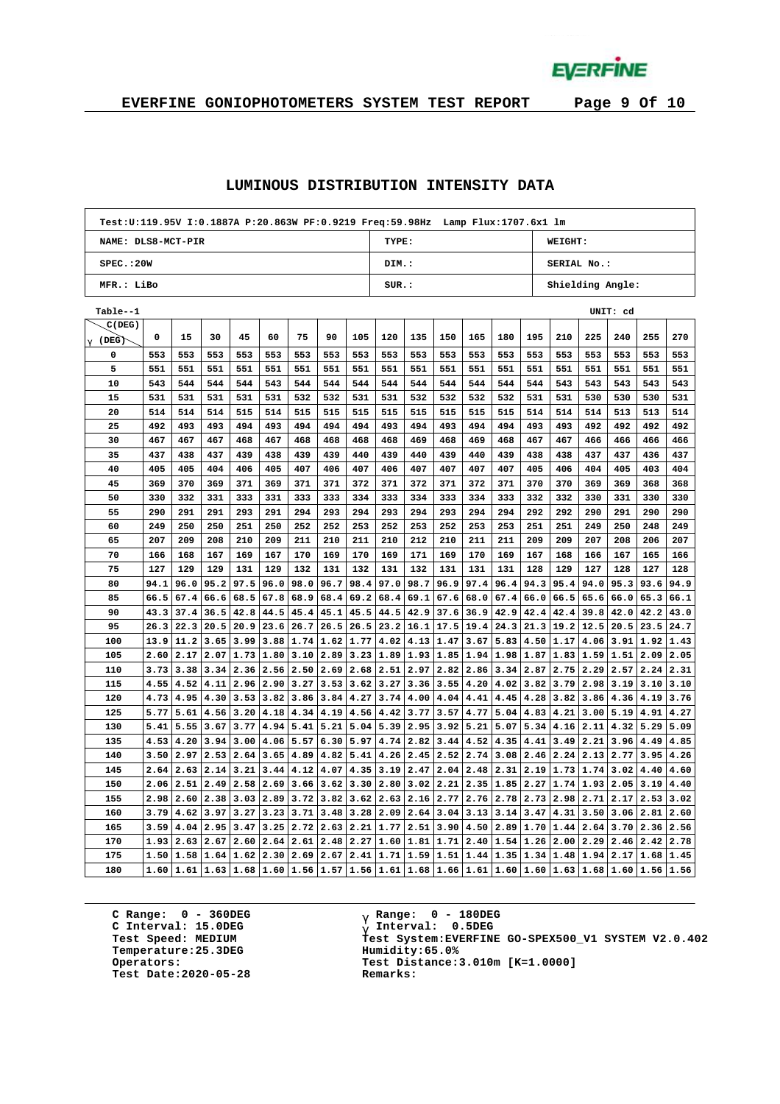**EVERFINE** 

# **EVERFINE GONIOPHOTOMETERS SYSTEM TEST REPORT Page 9 Of 10**

#### **LUMINOUS DISTRIBUTION INTENSITY DATA**

| Test:U:119.95V I:0.1887A P:20.863W PF:0.9219 Freq:59.98Hz Lamp Flux:1707.6x1 lm |      |      |                  |                                   |      |      |      |      |                           |                                                                                                                        |      |      |                      |      |             |           |          |      |      |  |
|---------------------------------------------------------------------------------|------|------|------------------|-----------------------------------|------|------|------|------|---------------------------|------------------------------------------------------------------------------------------------------------------------|------|------|----------------------|------|-------------|-----------|----------|------|------|--|
| NAME: DLS8-MCT-PIR                                                              |      |      |                  |                                   |      |      |      |      | TYPE:                     |                                                                                                                        |      |      |                      |      | WEIGHT:     |           |          |      |      |  |
| SPEC.:20W                                                                       |      |      |                  |                                   |      |      |      |      | DIM.:                     |                                                                                                                        |      |      |                      |      | SERIAL No.: |           |          |      |      |  |
| MFR.: LiBo                                                                      |      |      |                  |                                   |      |      |      |      | SUR.:<br>Shielding Angle: |                                                                                                                        |      |      |                      |      |             |           |          |      |      |  |
| Table--1                                                                        |      |      |                  |                                   |      |      |      |      |                           |                                                                                                                        |      |      |                      |      |             |           | UNIT: cd |      |      |  |
| C(DEG)                                                                          |      |      |                  |                                   |      |      |      |      |                           |                                                                                                                        |      |      |                      |      |             |           |          |      |      |  |
| $\frac{g}{g}$ (DEG)                                                             | 0    | 15   | 30               | 45                                | 60   | 75   | 90   | 105  | 120                       | 135                                                                                                                    | 150  | 165  | 180                  | 195  | 210         | 225       | 240      | 255  | 270  |  |
| 0                                                                               | 553  | 553  | 553              | 553                               | 553  | 553  | 553  | 553  | 553                       | 553                                                                                                                    | 553  | 553  | 553                  | 553  | 553         | 553       | 553      | 553  | 553  |  |
| 5                                                                               | 551  | 551  | 551              | 551                               | 551  | 551  | 551  | 551  | 551                       | 551                                                                                                                    | 551  | 551  | 551                  | 551  | 551         | 551       | 551      | 551  | 551  |  |
| 10                                                                              | 543  | 544  | 544              | 544                               | 543  | 544  | 544  | 544  | 544                       | 544                                                                                                                    | 544  | 544  | 544                  | 544  | 543         | 543       | 543      | 543  | 543  |  |
| 15                                                                              | 531  | 531  | 531              | 531                               | 531  | 532  | 532  | 531  | 531                       | 532                                                                                                                    | 532  | 532  | 532                  | 531  | 531         | 530       | 530      | 530  | 531  |  |
| 20                                                                              | 514  | 514  | 514              | 515                               | 514  | 515  | 515  | 515  | 515                       | 515                                                                                                                    | 515  | 515  | 515                  | 514  | 514         | 514       | 513      | 513  | 514  |  |
| 25                                                                              | 492  | 493  | 493              | 494                               | 493  | 494  | 494  | 494  | 493                       | 494                                                                                                                    | 493  | 494  | 494                  | 493  | 493         | 492       | 492      | 492  | 492  |  |
| 30                                                                              | 467  | 467  | 467              | 468                               | 467  | 468  | 468  | 468  | 468                       | 469                                                                                                                    | 468  | 469  | 468                  | 467  | 467         | 466       | 466      | 466  | 466  |  |
| 35                                                                              | 437  | 438  | 437              | 439                               | 438  | 439  | 439  | 440  | 439                       | 440                                                                                                                    | 439  | 440  | 439                  | 438  | 438         | 437       | 437      | 436  | 437  |  |
| 40                                                                              | 405  | 405  | 404              | 406                               | 405  | 407  | 406  | 407  | 406                       | 407                                                                                                                    | 407  | 407  | 407                  | 405  | 406         | 404       | 405      | 403  | 404  |  |
| 45                                                                              | 369  | 370  | 369              | 371                               | 369  | 371  | 371  | 372  | 371                       | 372                                                                                                                    | 371  | 372  | 371                  | 370  | 370         | 369       | 369      | 368  | 368  |  |
| 50                                                                              | 330  | 332  | 331              | 333                               | 331  | 333  | 333  | 334  | 333                       | 334                                                                                                                    | 333  | 334  | 333                  | 332  | 332         | 330       | 331      | 330  | 330  |  |
| 55                                                                              | 290  | 291  | 291              | 293                               | 291  | 294  | 293  | 294  | 293                       | 294                                                                                                                    | 293  | 294  | 294                  | 292  | 292         | 290       | 291      | 290  | 290  |  |
| 60                                                                              | 249  | 250  | 250              | 251                               | 250  | 252  | 252  | 253  | 252                       | 253                                                                                                                    | 252  | 253  | 253                  | 251  | 251         | 249       | 250      | 248  | 249  |  |
| 65                                                                              | 207  | 209  | 208              | 210                               | 209  | 211  | 210  | 211  | 210                       | 212                                                                                                                    | 210  | 211  | 211                  | 209  | 209         | 207       | 208      | 206  | 207  |  |
| 70                                                                              | 166  | 168  | 167              | 169                               | 167  | 170  | 169  | 170  | 169                       | 171                                                                                                                    | 169  | 170  | 169                  | 167  | 168         | 166       | 167      | 165  | 166  |  |
| 75                                                                              | 127  | 129  | 129              | 131                               | 129  | 132  | 131  | 132  | 131                       | 132                                                                                                                    | 131  | 131  | 131                  | 128  | 129         | 127       | 128      | 127  | 128  |  |
| 80                                                                              | 94.1 | 96.0 | 95.2             | 97.5                              | 96.0 | 98.0 | 96.7 | 98.4 | 97.0                      | 98.7                                                                                                                   | 96.9 | 97.4 | 96.4                 | 94.3 | 95.4        | 94.0      | 95.3     | 93.6 | 94.9 |  |
| 85                                                                              | 66.5 | 67.4 | 66.6             | 68.5                              | 67.8 | 68.9 | 68.4 | 69.2 | 68.4                      | 69.1                                                                                                                   | 67.6 | 68.0 | 67.4                 | 66.0 | 66.5        | 65.6      | 66.0     | 65.3 | 66.1 |  |
| 90                                                                              | 43.3 | 37.4 | 36.5             | 42.8                              | 44.5 | 45.4 | 45.1 | 45.5 | 44.5                      | 42.9                                                                                                                   | 37.6 | 36.9 | 42.9                 | 42.4 | 42.4        | 39.8      | 42.0     | 42.2 | 43.0 |  |
| 95                                                                              | 26.3 | 22.3 | 20.5             | 20.9                              | 23.6 | 26.7 | 26.5 | 26.5 | 23.2                      | 16.1                                                                                                                   | 17.5 | 19.4 | 24.3                 | 21.3 | 19.2        | 12.5      | 20.5     | 23.5 | 24.7 |  |
| 100                                                                             | 13.9 | 11.2 | 3.65             | 3.99                              | 3.88 | 1.74 | 1.62 | 1.77 | 4.02                      | 4.13                                                                                                                   | 1.47 | 3.67 | 5.83                 | 4.50 | 1.17        | 4.06      | 3.91     | 1.92 | 1.43 |  |
| 105                                                                             | 2.60 |      |                  | $2.17$   $2.07$   $1.73$   $1.80$ |      | 3.10 | 2.89 | 3.23 | 1.89                      | 1.93                                                                                                                   | 1.85 | 1.94 | 1.98                 | 1.87 |             | 1.83 1.59 | 1.51     | 2.09 | 2.05 |  |
| 110                                                                             | 3.73 | 3.38 | 3.34             | 2.36                              | 2.56 | 2.50 | 2.69 | 2.68 | 2.51                      | 2.97                                                                                                                   | 2.82 | 2.86 | 3.34                 | 2.87 | 2.75        | 2.29      | 2.57     | 2.24 | 2.31 |  |
| 115                                                                             | 4.55 |      | 4.52   4.11      | 2.96                              | 2.90 | 3.27 | 3.53 | 3.62 | 3.27                      | 3.36                                                                                                                   | 3.55 | 4.20 | 4.02                 | 3.82 | 3.79        | 2.98      | 3.19     | 3.10 | 3.10 |  |
| 120                                                                             | 4.73 | 4.95 | 4.30             | 3.53                              | 3.82 | 3.86 | 3.84 | 4.27 | 3.74                      | 4.00                                                                                                                   | 4.04 | 4.41 | 4.45                 | 4.28 | 3.82        | 3.86      | 4.36     | 4.19 | 3.76 |  |
| 125                                                                             | 5.77 | 5.61 | 4.56             | 3.20                              | 4.18 | 4.34 | 4.19 | 4.56 | 4.42                      | 3.77                                                                                                                   | 3.57 | 4.77 | 5.04                 | 4.83 | 4.21        | 3.00      | 5.19     | 4.91 | 4.27 |  |
| 130                                                                             | 5.41 | 5.55 | 3.67             | 3.77                              | 4.94 | 5.41 | 5.21 | 5.04 | 5.39                      | 2.95                                                                                                                   | 3.92 | 5.21 | 5.07                 | 5.34 | 4.16        | 2.11      | 4.32     | 5.29 | 5.09 |  |
| 135                                                                             | 4.53 | 4.20 | 3.94             | 3.00                              | 4.06 | 5.57 | 6.30 | 5.97 | 4.74                      | 2.82                                                                                                                   | 3.44 | 4.52 | 4.35                 | 4.41 | 3.49        | 2.21      | 3.96     | 4.49 | 4.85 |  |
| 140                                                                             | 3.50 | 2.97 | 2.53             | 2.64                              | 3.65 | 4.89 | 4.82 | 5.41 | 4.26                      | 2.45                                                                                                                   | 2.52 | 2.74 | 3.08                 | 2.46 | 2.24        | 2.13      | 2.77     | 3.95 | 4.26 |  |
| 145                                                                             | 2.64 |      | 2.63   2.14      | 3.21                              | 3.44 | 4.12 | 4.07 | 4.35 | 3.19                      | 2.47                                                                                                                   | 2.04 | 2.48 | 2.31                 | 2.19 | 1.73        | 1.74      | 3.02     | 4.40 | 4.60 |  |
| 150                                                                             | 2.06 | 2.51 | 2.49             | 2.58                              | 2.69 | 3.66 | 3.62 | 3.30 | 2.80                      | 3.02                                                                                                                   | 2.21 | 2.35 | 1.85                 | 2.27 | 1.74        | 1.93      | 2.05     | 3.19 | 4.40 |  |
| 155                                                                             | 2.98 | 2.60 | 2.38             | 3.03                              | 2.89 | 3.72 | 3.82 | 3.62 | 2.63                      | 2.16                                                                                                                   | 2.77 | 2.76 | 2.78                 | 2.73 | 2.98        | 2.71      | 2.17     | 2.53 | 3.02 |  |
| 160                                                                             | 3.79 |      | $4.62$ 3.97      | 3.27                              | 3.23 | 3.71 | 3.48 | 3.28 | 2.09                      | 2.64                                                                                                                   | 3.04 | 3.13 | 3.14                 | 3.47 | 4.31        | 3.50      | 3.06     | 2.81 | 2.60 |  |
| 165                                                                             | 3.59 | 4.04 | 2.95             | 3.47                              | 3.25 | 2.72 | 2.63 | 2.21 | 1.77                      | 2.51                                                                                                                   | 3.90 | 4.50 | 2.89                 | 1.70 | 1.44        | 2.64      | 3.70     | 2.36 | 2.56 |  |
| 170                                                                             | 1.93 |      | $2.63 \mid 2.67$ | 2.60                              | 2.64 | 2.61 | 2.48 | 2.27 | 1.60                      | 1.81                                                                                                                   | 1.71 | 2.40 | 1.54                 | 1.26 | 2.00        | 2.29      | 2.46     | 2.42 | 2.78 |  |
| 175                                                                             | 1.50 |      | 1.58 1.64        | 1.62                              | 2.30 | 2.69 | 2.67 | 2.41 | 1.71                      | 1.59                                                                                                                   | 1.51 |      | $1.44$   1.35   1.34 |      |             | 1.48 1.94 | 2.17     | 1.68 | 1.45 |  |
| 180                                                                             | 1.60 |      |                  |                                   |      |      |      |      |                           | $1.61$ $1.63$ $1.68$ $1.60$ $1.56$ $1.57$ $1.56$ $1.61$ $1.68$ $1.66$ $1.61$ $1.60$ $1.60$ $1.63$ $1.68$ $1.60$ $1.56$ |      |      |                      |      |             |           |          |      | 1.56 |  |

**C Range: 0 - 360DEG C Interval: 15.0DEG Temperature:25.3DEG Humidity:65.0% Test Date:2020-05-28 Remarks:**